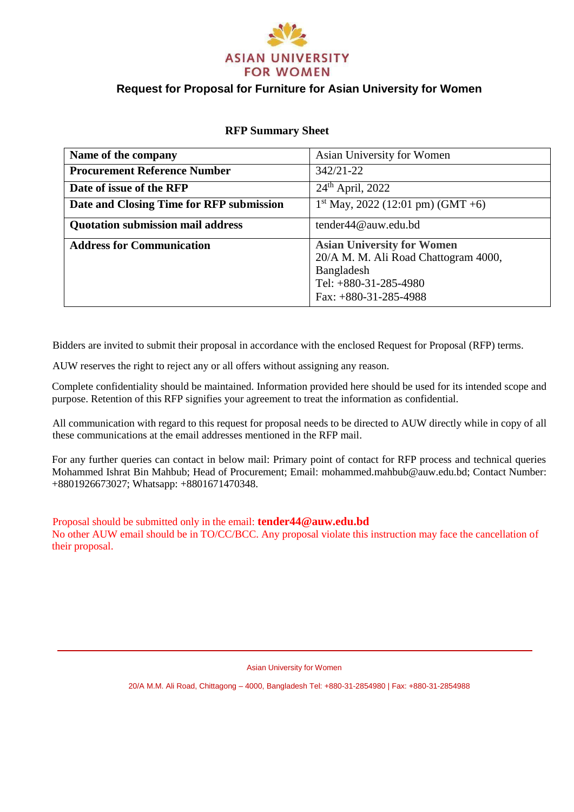

## **Request for Proposal for Furniture for Asian University for Women**

| <b>RFP Summary Sheet</b> |  |
|--------------------------|--|
|--------------------------|--|

| Name of the company                      | Asian University for Women                                                                                                                    |
|------------------------------------------|-----------------------------------------------------------------------------------------------------------------------------------------------|
| <b>Procurement Reference Number</b>      | $342/21 - 22$                                                                                                                                 |
| Date of issue of the RFP                 | $24th$ April, 2022                                                                                                                            |
| Date and Closing Time for RFP submission | $1st$ May, 2022 (12:01 pm) (GMT +6)                                                                                                           |
| <b>Quotation submission mail address</b> | tender44@auw.edu.bd                                                                                                                           |
| <b>Address for Communication</b>         | <b>Asian University for Women</b><br>20/A M. M. Ali Road Chattogram 4000,<br>Bangladesh<br>Tel: $+880-31-285-4980$<br>Fax: $+880-31-285-4988$ |

Bidders are invited to submit their proposal in accordance with the enclosed Request for Proposal (RFP) terms.

AUW reserves the right to reject any or all offers without assigning any reason.

Complete confidentiality should be maintained. Information provided here should be used for its intended scope and purpose. Retention of this RFP signifies your agreement to treat the information as confidential.

All communication with regard to this request for proposal needs to be directed to AUW directly while in copy of all these communications at the email addresses mentioned in the RFP mail.

For any further queries can contact in below mail: Primary point of contact for RFP process and technical queries Mohammed Ishrat Bin Mahbub; Head of Procurement; Email: mohammed.mahbub@auw.edu.bd; Contact Number: +8801926673027; Whatsapp: +8801671470348.

Proposal should be submitted only in the email: **tender44@auw.edu.bd** No other AUW email should be in TO/CC/BCC. Any proposal violate this instruction may face the cancellation of their proposal.

Asian University for Women

20/A M.M. Ali Road, Chittagong – 4000, Bangladesh Tel: +880-31-2854980 | Fax: +880-31-2854988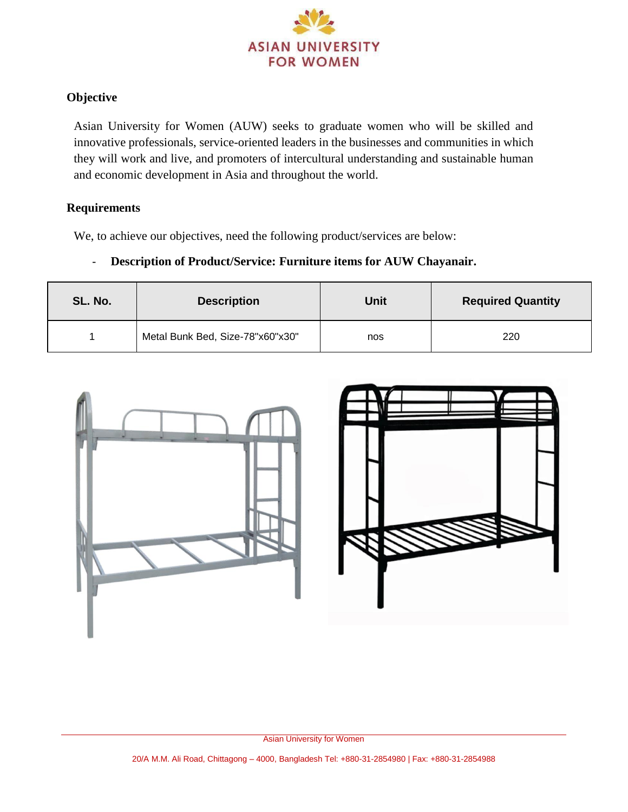

# **Objective**

Asian University for Women (AUW) seeks to graduate women who will be skilled and innovative professionals, service-oriented leaders in the businesses and communities in which they will work and live, and promoters of intercultural understanding and sustainable human and economic development in Asia and throughout the world.

### **Requirements**

We, to achieve our objectives, need the following product/services are below:

## - **Description of Product/Service: Furniture items for AUW Chayanair.**

| SL. No. | <b>Description</b>               | Unit | <b>Required Quantity</b> |
|---------|----------------------------------|------|--------------------------|
|         | Metal Bunk Bed, Size-78"x60"x30" | nos  | 220                      |



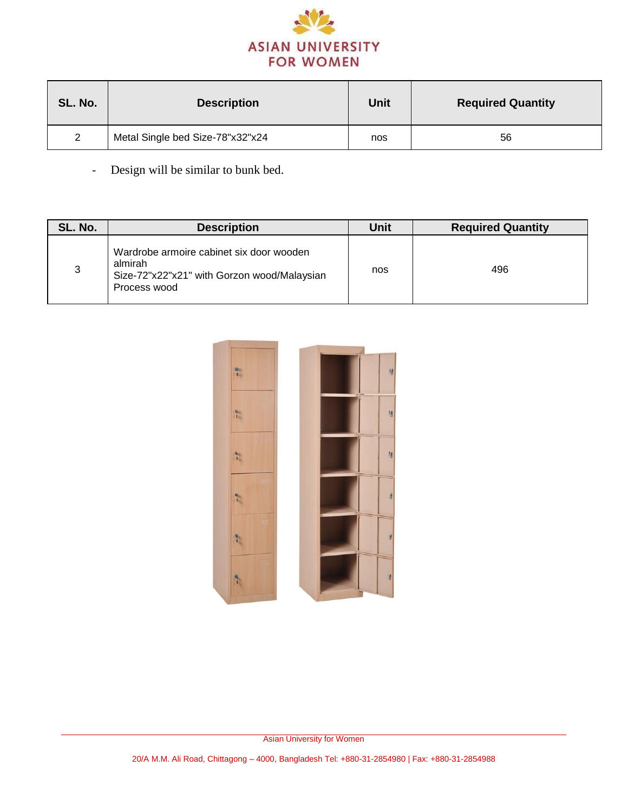

| SL. No.       | <b>Description</b>               | Unit | <b>Required Quantity</b> |
|---------------|----------------------------------|------|--------------------------|
| $\mathcal{P}$ | Metal Single bed Size-78"x32"x24 | nos  | 56                       |

- Design will be similar to bunk bed.

| SL. No. | <b>Description</b>                                                                                                 | Unit | <b>Required Quantity</b> |
|---------|--------------------------------------------------------------------------------------------------------------------|------|--------------------------|
| 3       | Wardrobe armoire cabinet six door wooden<br>almirah<br>Size-72"x22"x21" with Gorzon wood/Malaysian<br>Process wood | nos  | 496                      |

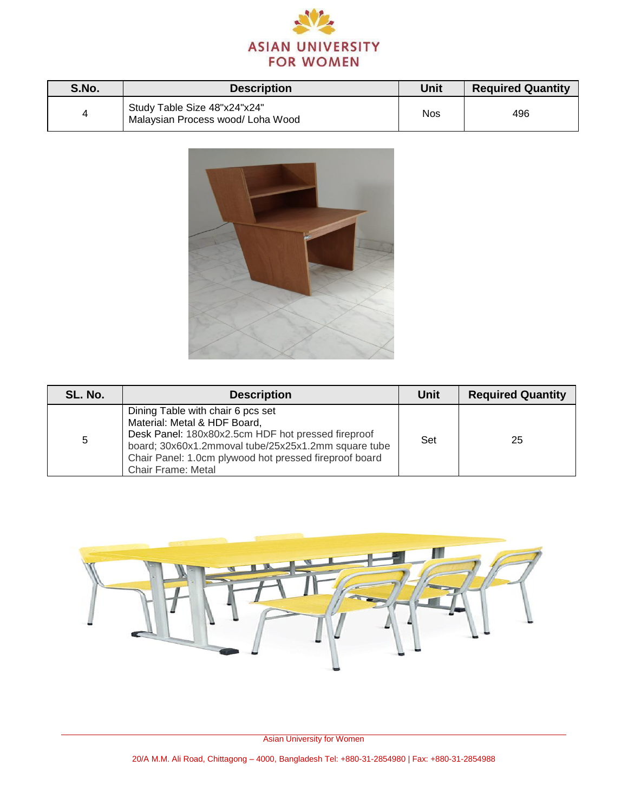

| S.No. | <b>Description</b>                                                | Unit       | <b>Required Quantity</b> |
|-------|-------------------------------------------------------------------|------------|--------------------------|
|       | Study Table Size 48"x24"x24"<br>Malaysian Process wood/ Loha Wood | <b>Nos</b> | 496                      |



| SL. No. | <b>Description</b>                                                                                                                                                                                                                                                    | Unit | <b>Required Quantity</b> |
|---------|-----------------------------------------------------------------------------------------------------------------------------------------------------------------------------------------------------------------------------------------------------------------------|------|--------------------------|
| 5       | Dining Table with chair 6 pcs set<br>Material: Metal & HDF Board,<br>Desk Panel: 180x80x2.5cm HDF hot pressed fireproof<br>board; 30x60x1.2mmoval tube/25x25x1.2mm square tube<br>Chair Panel: 1.0cm plywood hot pressed fireproof board<br><b>Chair Frame: Metal</b> | Set  | 25                       |



Asian University for Women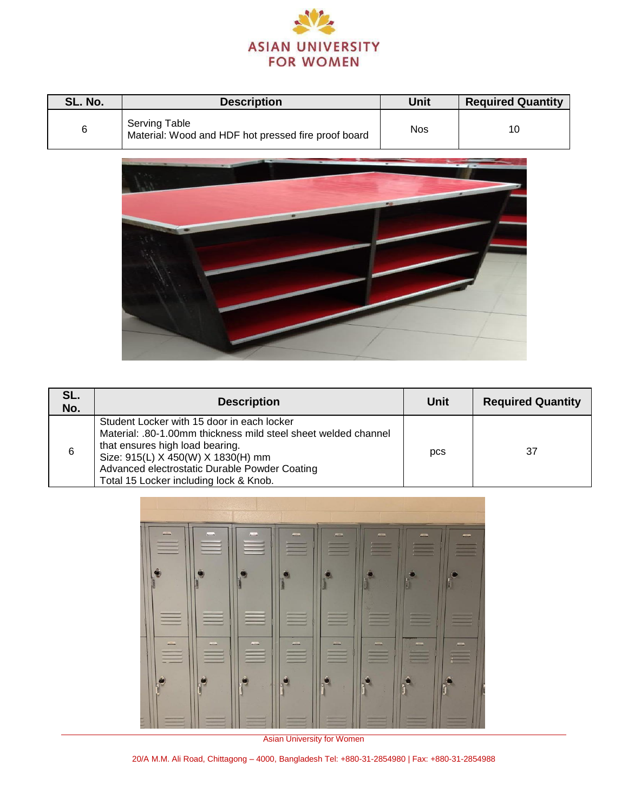

| SL. No. | <b>Description</b>                                                          | Unit | <b>Required Quantity</b> |
|---------|-----------------------------------------------------------------------------|------|--------------------------|
|         | <b>Serving Table</b><br>Material: Wood and HDF hot pressed fire proof board | Nos  | 10                       |



| SL.<br>No. | <b>Description</b>                                                                                                                                                                                                                                                               | Unit | <b>Required Quantity</b> |
|------------|----------------------------------------------------------------------------------------------------------------------------------------------------------------------------------------------------------------------------------------------------------------------------------|------|--------------------------|
| 6          | Student Locker with 15 door in each locker<br>Material: .80-1.00mm thickness mild steel sheet welded channel<br>that ensures high load bearing.<br>Size: 915(L) X 450(W) X 1830(H) mm<br>Advanced electrostatic Durable Powder Coating<br>Total 15 Locker including lock & Knob. | pcs  | 37                       |



Asian University for Women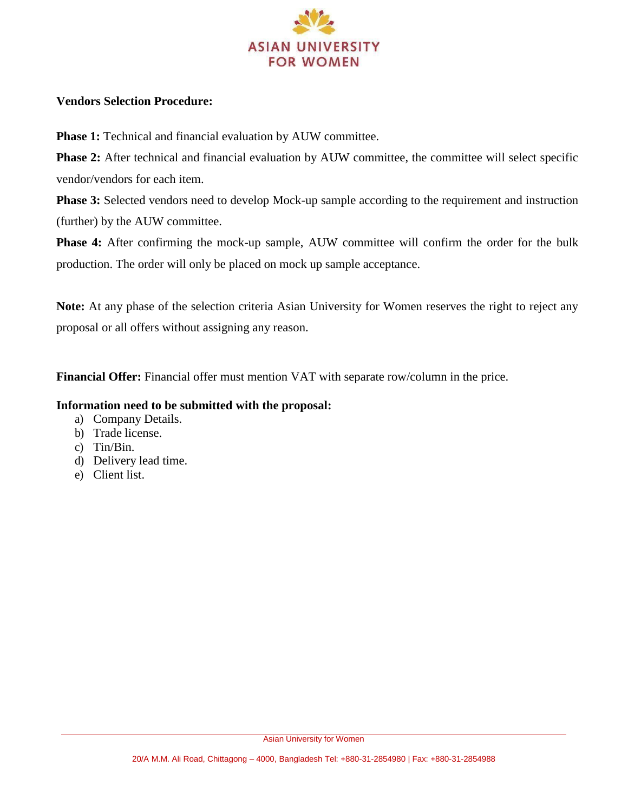

### **Vendors Selection Procedure:**

**Phase 1:** Technical and financial evaluation by AUW committee.

**Phase 2:** After technical and financial evaluation by AUW committee, the committee will select specific vendor/vendors for each item.

**Phase 3:** Selected vendors need to develop Mock-up sample according to the requirement and instruction (further) by the AUW committee.

**Phase 4:** After confirming the mock-up sample, AUW committee will confirm the order for the bulk production. The order will only be placed on mock up sample acceptance.

**Note:** At any phase of the selection criteria Asian University for Women reserves the right to reject any proposal or all offers without assigning any reason.

**Financial Offer:** Financial offer must mention VAT with separate row/column in the price.

#### **Information need to be submitted with the proposal:**

- a) Company Details.
- b) Trade license.
- c) Tin/Bin.
- d) Delivery lead time.
- e) Client list.